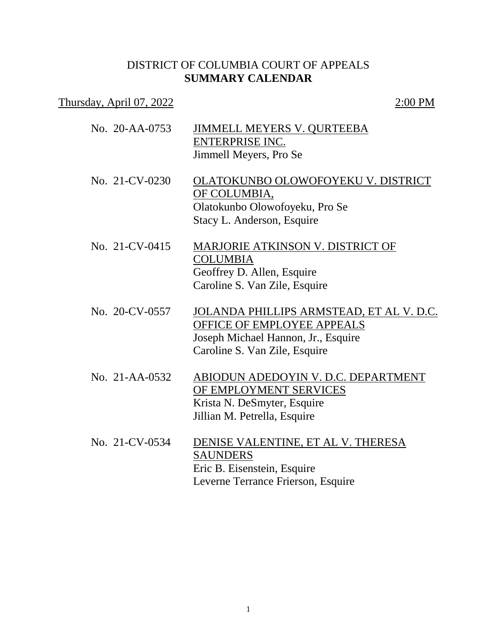## DISTRICT OF COLUMBIA COURT OF APPEALS **SUMMARY CALENDAR**

| Thursday, April 07, 2022 | 2:00 PM                                                                                                                                        |
|--------------------------|------------------------------------------------------------------------------------------------------------------------------------------------|
| No. 20-AA-0753           | <b>JIMMELL MEYERS V. QURTEEBA</b><br><b>ENTERPRISE INC.</b><br>Jimmell Meyers, Pro Se                                                          |
| No. 21-CV-0230           | OLATOKUNBO OLOWOFOYEKU V. DISTRICT<br>OF COLUMBIA,<br>Olatokunbo Olowofoyeku, Pro Se<br>Stacy L. Anderson, Esquire                             |
| No. 21-CV-0415           | MARJORIE ATKINSON V. DISTRICT OF<br><b>COLUMBIA</b><br>Geoffrey D. Allen, Esquire<br>Caroline S. Van Zile, Esquire                             |
| No. 20-CV-0557           | JOLANDA PHILLIPS ARMSTEAD, ET AL V. D.C.<br>OFFICE OF EMPLOYEE APPEALS<br>Joseph Michael Hannon, Jr., Esquire<br>Caroline S. Van Zile, Esquire |
| No. 21-AA-0532           | ABIODUN ADEDOYIN V. D.C. DEPARTMENT<br>OF EMPLOYMENT SERVICES<br>Krista N. DeSmyter, Esquire<br>Jillian M. Petrella, Esquire                   |
| No. 21-CV-0534           | DENISE VALENTINE, ET AL V. THERESA<br><b>SAUNDERS</b><br>Eric B. Eisenstein, Esquire<br>Leverne Terrance Frierson, Esquire                     |